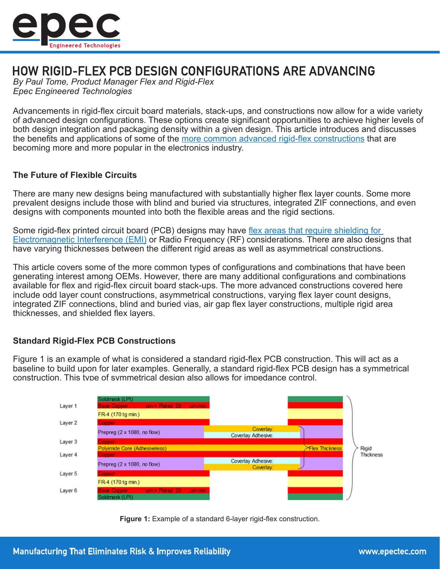

# HOW RIGID-FLEX PCB DESIGN CONFIGURATIONS ARE ADVANCING

*By Paul Tome, Product Manager Flex and Rigid-Flex Epec Engineered Technologies*

Advancements in rigid-flex circuit board materials, stack-ups, and constructions now allow for a wide variety of advanced design configurations. These options create significant opportunities to achieve higher levels of both design integration and packaging density within a given design. This article introduces and discusses the benefits and applications of some of the [more common advanced rigid-flex constructions](https://blog.epectec.com/common-flex-rigid-flex-pcb-constructions) that are becoming more and more popular in the electronics industry.

#### **The Future of Flexible Circuits**

There are many new designs being manufactured with substantially higher flex layer counts. Some more prevalent designs include those with blind and buried via structures, integrated ZIF connections, and even designs with components mounted into both the flexible areas and the rigid sections.

Some rigid-flex printed circuit board (PCB) designs may have [flex areas that require shielding for](https://blog.epectec.com/flex-pcb-emi-shielding-methods-and-materials)  [Electromagnetic Interference \(EMI\)](https://blog.epectec.com/flex-pcb-emi-shielding-methods-and-materials) or Radio Frequency (RF) considerations. There are also designs that have varying thicknesses between the different rigid areas as well as asymmetrical constructions.

This article covers some of the more common types of configurations and combinations that have been generating interest among OEMs. However, there are many additional configurations and combinations available for flex and rigid-flex circuit board stack-ups. The more advanced constructions covered here include odd layer count constructions, asymmetrical constructions, varying flex layer count designs, integrated ZIF connections, blind and buried vias, air gap flex layer constructions, multiple rigid area thicknesses, and shielded flex layers.

## **Standard Rigid-Flex PCB Constructions**

Figure 1 is an example of what is considered a standard rigid-flex PCB construction. This will act as a baseline to build upon for later examples. Generally, a standard rigid-flex PCB design has a symmetrical construction. This type of symmetrical design also allows for impedance control.



**Figure 1:** Example of a standard 6-layer rigid-flex construction.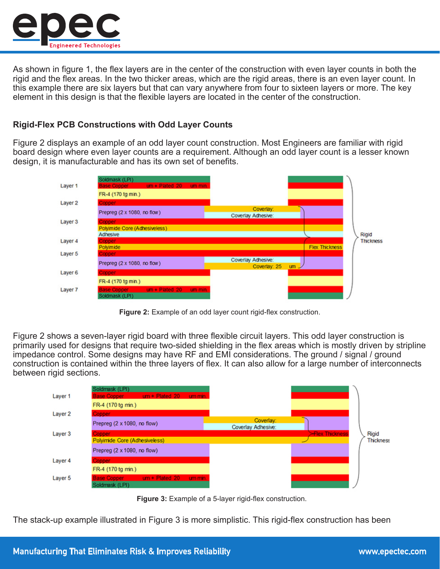

As shown in figure 1, the flex layers are in the center of the construction with even layer counts in both the rigid and the flex areas. In the two thicker areas, which are the rigid areas, there is an even layer count. In this example there are six layers but that can vary anywhere from four to sixteen layers or more. The key element in this design is that the flexible layers are located in the center of the construction.

# **Rigid-Flex PCB Constructions with Odd Layer Counts**

Figure 2 displays an example of an odd layer count construction. Most Engineers are familiar with rigid board design where even layer counts are a requirement. Although an odd layer count is a lesser known design, it is manufacturable and has its own set of benefits.



**Figure 2:** Example of an odd layer count rigid-flex construction.

Figure 2 shows a seven-layer rigid board with three flexible circuit layers. This odd layer construction is primarily used for designs that require two-sided shielding in the flex areas which is mostly driven by stripline impedance control. Some designs may have RF and EMI considerations. The ground / signal / ground construction is contained within the three layers of flex. It can also allow for a large number of interconnects between rigid sections.





The stack-up example illustrated in Figure 3 is more simplistic. This rigid-flex construction has been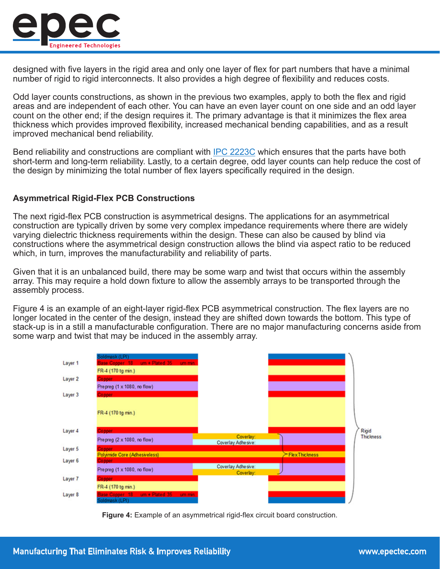

designed with five layers in the rigid area and only one layer of flex for part numbers that have a minimal number of rigid to rigid interconnects. It also provides a high degree of flexibility and reduces costs.

Odd layer counts constructions, as shown in the previous two examples, apply to both the flex and rigid areas and are independent of each other. You can have an even layer count on one side and an odd layer count on the other end; if the design requires it. The primary advantage is that it minimizes the flex area thickness which provides improved flexibility, increased mechanical bending capabilities, and as a result improved mechanical bend reliability.

Bend reliability and constructions are compliant with **IPC 2223C** which ensures that the parts have both short-term and long-term reliability. Lastly, to a certain degree, odd layer counts can help reduce the cost of the design by minimizing the total number of flex layers specifically required in the design.

## **Asymmetrical Rigid-Flex PCB Constructions**

The next rigid-flex PCB construction is asymmetrical designs. The applications for an asymmetrical construction are typically driven by some very complex impedance requirements where there are widely varying dielectric thickness requirements within the design. These can also be caused by blind via constructions where the asymmetrical design construction allows the blind via aspect ratio to be reduced which, in turn, improves the manufacturability and reliability of parts.

Given that it is an unbalanced build, there may be some warp and twist that occurs within the assembly array. This may require a hold down fixture to allow the assembly arrays to be transported through the assembly process.

Figure 4 is an example of an eight-layer rigid-flex PCB asymmetrical construction. The flex layers are no longer located in the center of the design, instead they are shifted down towards the bottom. This type of stack-up is in a still a manufacturable configuration. There are no major manufacturing concerns aside from some warp and twist that may be induced in the assembly array.



**Figure 4:** Example of an asymmetrical rigid-flex circuit board construction.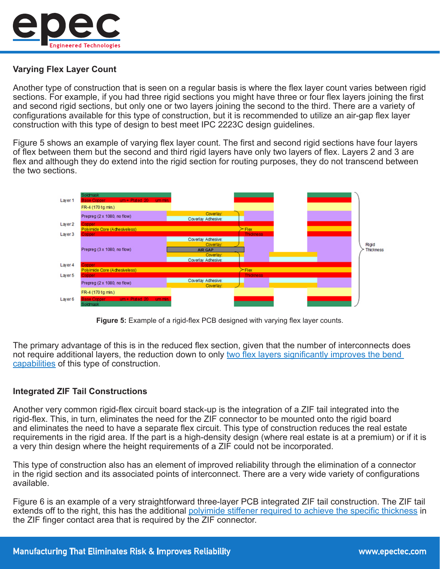

# **Varying Flex Layer Count**

Another type of construction that is seen on a regular basis is where the flex layer count varies between rigid sections. For example, if you had three rigid sections you might have three or four flex layers joining the first and second rigid sections, but only one or two layers joining the second to the third. There are a variety of configurations available for this type of construction, but it is recommended to utilize an air-gap flex layer construction with this type of design to best meet IPC 2223C design guidelines.

Figure 5 shows an example of varying flex layer count. The first and second rigid sections have four layers of flex between them but the second and third rigid layers have only two layers of flex. Layers 2 and 3 are flex and although they do extend into the rigid section for routing purposes, they do not transcend between the two sections.





The primary advantage of this is in the reduced flex section, given that the number of interconnects does not require additional layers, the reduction down to only [two flex layers significantly improves the bend](https://blog.epectec.com/flex-rigid-flex-bend-capabilities)  [capabilities](https://blog.epectec.com/flex-rigid-flex-bend-capabilities) of this type of construction.

## **Integrated ZIF Tail Constructions**

Another very common rigid-flex circuit board stack-up is the integration of a ZIF tail integrated into the rigid-flex. This, in turn, eliminates the need for the ZIF connector to be mounted onto the rigid board and eliminates the need to have a separate flex circuit. This type of construction reduces the real estate requirements in the rigid area. If the part is a high-density design (where real estate is at a premium) or if it is a very thin design where the height requirements of a ZIF could not be incorporated.

This type of construction also has an element of improved reliability through the elimination of a connector in the rigid section and its associated points of interconnect. There are a very wide variety of configurations available.

Figure 6 is an example of a very straightforward three-layer PCB integrated ZIF tail construction. The ZIF tail extends off to the right, this has the additional [polyimide stiffener required to achieve the specific thickness](https://blog.epectec.com/the-purpose-of-a-flex-circuit-stiffener) in the ZIF finger contact area that is required by the ZIF connector.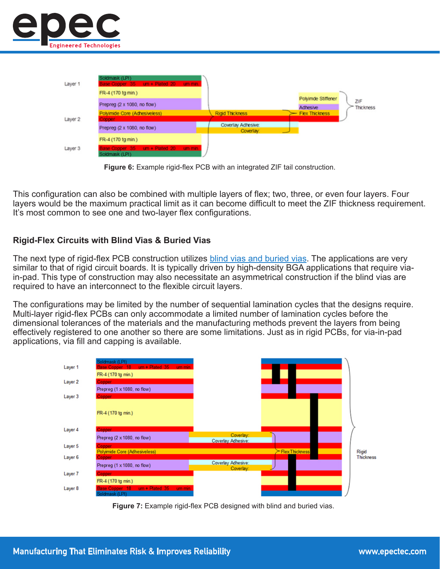





This configuration can also be combined with multiple layers of flex; two, three, or even four layers. Four layers would be the maximum practical limit as it can become difficult to meet the ZIF thickness requirement. It's most common to see one and two-layer flex configurations.

## **Rigid-Flex Circuits with Blind Vias & Buried Vias**

The next type of rigid-flex PCB construction utilizes [blind vias and buried vias.](http://www.epectec.com/pcb/plug-via-process.html) The applications are very similar to that of rigid circuit boards. It is typically driven by high-density BGA applications that require viain-pad. This type of construction may also necessitate an asymmetrical construction if the blind vias are required to have an interconnect to the flexible circuit layers.

The configurations may be limited by the number of sequential lamination cycles that the designs require. Multi-layer rigid-flex PCBs can only accommodate a limited number of lamination cycles before the dimensional tolerances of the materials and the manufacturing methods prevent the layers from being effectively registered to one another so there are some limitations. Just as in rigid PCBs, for via-in-pad applications, via fill and capping is available.



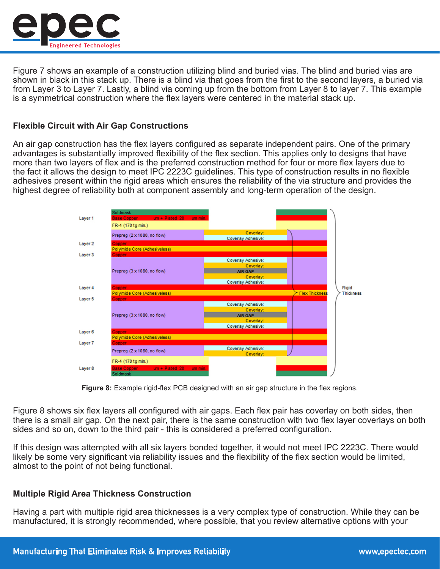

Figure 7 shows an example of a construction utilizing blind and buried vias. The blind and buried vias are shown in black in this stack up. There is a blind via that goes from the first to the second layers, a buried via from Layer 3 to Layer 7. Lastly, a blind via coming up from the bottom from Layer 8 to layer 7. This example is a symmetrical construction where the flex layers were centered in the material stack up.

#### **Flexible Circuit with Air Gap Constructions**

An air gap construction has the flex layers configured as separate independent pairs. One of the primary advantages is substantially improved flexibility of the flex section. This applies only to designs that have more than two layers of flex and is the preferred construction method for four or more flex layers due to the fact it allows the design to meet IPC 2223C guidelines. This type of construction results in no flexible adhesives present within the rigid areas which ensures the reliability of the via structure and provides the highest degree of reliability both at component assembly and long-term operation of the design.

| Layer 1            | Soldmask<br><b>Base Copper</b><br>$um + Plated 20$ um min.    |                                 |                       |                  |
|--------------------|---------------------------------------------------------------|---------------------------------|-----------------------|------------------|
|                    | FR-4 (170 tg min.)                                            |                                 |                       |                  |
|                    | Prepreg (2 x 1080, no flow)                                   | Coverlay:                       |                       |                  |
|                    |                                                               | Coverlay Adhesive:              |                       |                  |
| Layer 2            | Copper                                                        |                                 |                       |                  |
|                    | Polyimide Core (Adhesiveless)                                 |                                 |                       |                  |
| Layer 3            | Copper                                                        |                                 |                       |                  |
|                    | Prepreg (3 x 1080, no flow)                                   | Coverlay Adhesive:<br>Coverlay: |                       |                  |
|                    |                                                               | <b>AIR GAP</b>                  |                       |                  |
|                    |                                                               | Coverlay:                       |                       |                  |
|                    |                                                               | Coverlay Adhesive:              |                       |                  |
| Layer 4            | Copper                                                        |                                 |                       | Rigid            |
|                    | Polyimide Core (Adhesiveless)                                 |                                 | <b>Flex Thickness</b> | <b>Thickness</b> |
| Layer 5            | Copper                                                        |                                 |                       |                  |
|                    | Prepreg (3 x 1080, no flow)                                   | Coverlay Adhesive:              |                       |                  |
|                    |                                                               | Coverlay:                       |                       |                  |
|                    |                                                               | <b>AIR GAP</b>                  |                       |                  |
|                    |                                                               | Coverlay:                       |                       |                  |
|                    |                                                               | Coverlay Adhesive:              |                       |                  |
| Layer <sub>6</sub> | Copper                                                        |                                 |                       |                  |
|                    | Polyimide Core (Adhesiveless)<br>Copper                       |                                 |                       |                  |
| Layer 7            |                                                               | Coverlay Adhesive:              |                       |                  |
|                    | Prepreg (2 x 1080, no flow)                                   | Coverlay:                       |                       |                  |
|                    | FR-4 (170 tg min.)                                            |                                 |                       |                  |
| Layer 8            | <b>Base Copper</b><br>$um + Plated 20$<br>um min.<br>Soldmask |                                 |                       |                  |

**Figure 8:** Example rigid-flex PCB designed with an air gap structure in the flex regions.

Figure 8 shows six flex layers all configured with air gaps. Each flex pair has coverlay on both sides, then there is a small air gap. On the next pair, there is the same construction with two flex layer coverlays on both sides and so on, down to the third pair - this is considered a preferred configuration.

If this design was attempted with all six layers bonded together, it would not meet IPC 2223C. There would likely be some very significant via reliability issues and the flexibility of the flex section would be limited, almost to the point of not being functional.

#### **Multiple Rigid Area Thickness Construction**

Having a part with multiple rigid area thicknesses is a very complex type of construction. While they can be manufactured, it is strongly recommended, where possible, that you review alternative options with your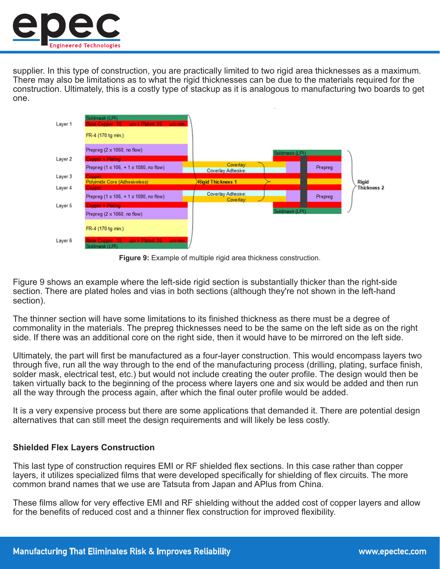

supplier. In this type of construction, you are practically limited to two rigid area thicknesses as a maximum. There may also be limitations as to what the rigid thicknesses can be due to the materials required for the construction. Ultimately, this is a costly type of stackup as it is analogous to manufacturing two boards to get one.



**Figure 9:** Example of multiple rigid area thickness construction.

Figure 9 shows an example where the left-side rigid section is substantially thicker than the right-side section. There are plated holes and vias in both sections (although they're not shown in the left-hand section).

The thinner section will have some limitations to its finished thickness as there must be a degree of commonality in the materials. The prepreg thicknesses need to be the same on the left side as on the right side. If there was an additional core on the right side, then it would have to be mirrored on the left side.

Ultimately, the part will first be manufactured as a four-layer construction. This would encompass layers two through five, run all the way through to the end of the manufacturing process (drilling, plating, surface finish, solder mask, electrical test, etc.) but would not include creating the outer profile. The design would then be taken virtually back to the beginning of the process where layers one and six would be added and then run all the way through the process again, after which the final outer profile would be added.

It is a very expensive process but there are some applications that demanded it. There are potential design alternatives that can still meet the design requirements and will likely be less costly.

## **Shielded Flex Layers Construction**

This last type of construction requires EMI or RF shielded flex sections. In this case rather than copper layers, it utilizes specialized films that were developed specifically for shielding of flex circuits. The more common brand names that we use are Tatsuta from Japan and APlus from China.

These films allow for very effective EMI and RF shielding without the added cost of copper layers and allow for the benefits of reduced cost and a thinner flex construction for improved flexibility.